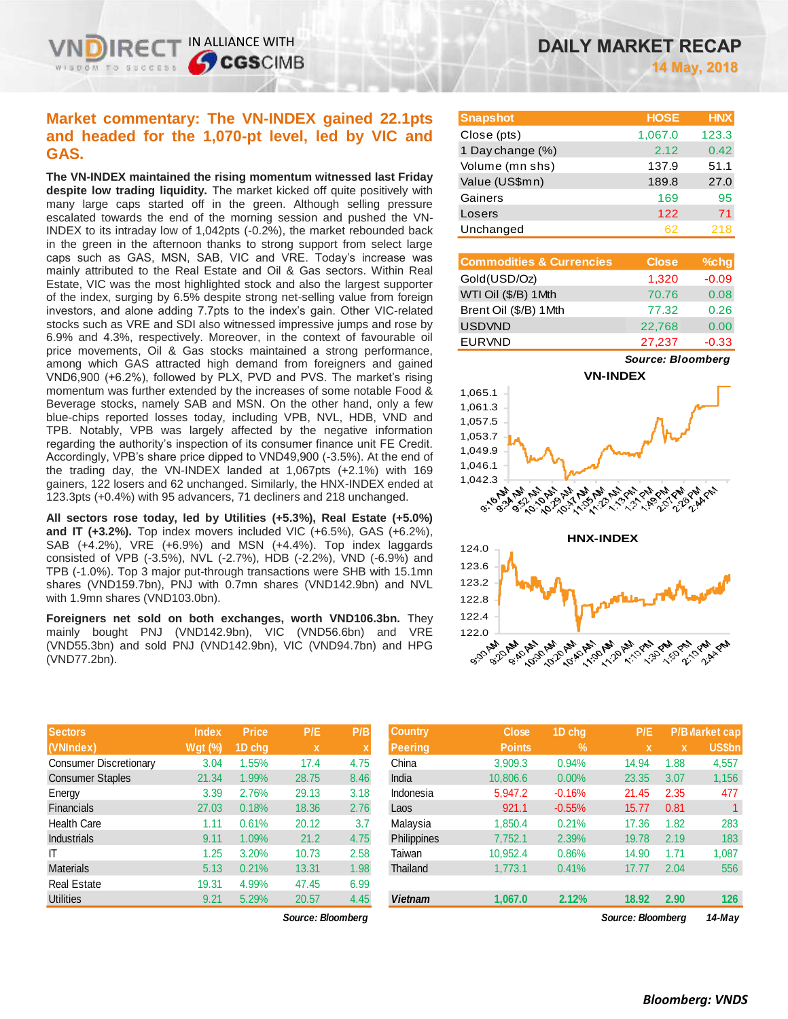## **Market commentary: The VN-INDEX gained 22.1pts and headed for the 1,070-pt level, led by VIC and GAS.**

IN ALLIANCE WITH

**CGSCIMB** 

**The VN-INDEX maintained the rising momentum witnessed last Friday despite low trading liquidity.** The market kicked off quite positively with many large caps started off in the green. Although selling pressure escalated towards the end of the morning session and pushed the VN-INDEX to its intraday low of 1,042pts (-0.2%), the market rebounded back in the green in the afternoon thanks to strong support from select large caps such as GAS, MSN, SAB, VIC and VRE. Today's increase was mainly attributed to the Real Estate and Oil & Gas sectors. Within Real Estate, VIC was the most highlighted stock and also the largest supporter of the index, surging by 6.5% despite strong net-selling value from foreign investors, and alone adding 7.7pts to the index's gain. Other VIC-related stocks such as VRE and SDI also witnessed impressive jumps and rose by 6.9% and 4.3%, respectively. Moreover, in the context of favourable oil price movements, Oil & Gas stocks maintained a strong performance, among which GAS attracted high demand from foreigners and gained VND6,900 (+6.2%), followed by PLX, PVD and PVS. The market's rising momentum was further extended by the increases of some notable Food & Beverage stocks, namely SAB and MSN. On the other hand, only a few blue-chips reported losses today, including VPB, NVL, HDB, VND and TPB. Notably, VPB was largely affected by the negative information regarding the authority's inspection of its consumer finance unit FE Credit. Accordingly, VPB's share price dipped to VND49,900 (-3.5%). At the end of the trading day, the VN-INDEX landed at 1,067pts (+2.1%) with 169 gainers, 122 losers and 62 unchanged. Similarly, the HNX-INDEX ended at 123.3pts (+0.4%) with 95 advancers, 71 decliners and 218 unchanged.

**All sectors rose today, led by Utilities (+5.3%), Real Estate (+5.0%) and IT (+3.2%).** Top index movers included VIC (+6.5%), GAS (+6.2%), SAB (+4.2%), VRE (+6.9%) and MSN (+4.4%). Top index laggards consisted of VPB (-3.5%), NVL (-2.7%), HDB (-2.2%), VND (-6.9%) and TPB (-1.0%). Top 3 major put-through transactions were SHB with 15.1mn shares (VND159.7bn), PNJ with 0.7mn shares (VND142.9bn) and NVL with 1.9mn shares (VND103.0bn).

**Foreigners net sold on both exchanges, worth VND106.3bn.** They mainly bought PNJ (VND142.9bn), VIC (VND56.6bn) and VRE (VND55.3bn) and sold PNJ (VND142.9bn), VIC (VND94.7bn) and HPG (VND77.2bn).

| <b>Sectors</b>                | <b>Index</b> | <b>Price</b> | P/E         | P/B  |
|-------------------------------|--------------|--------------|-------------|------|
| (VNIndex)                     | Wgt (%)      | 1D chq       | $\mathbf x$ | X    |
| <b>Consumer Discretionary</b> | 3.04         | 1.55%        | 17.4        | 4.75 |
| <b>Consumer Staples</b>       | 21.34        | 1.99%        | 28.75       | 8.46 |
| Energy                        | 3.39         | 2.76%        | 29.13       | 3.18 |
| <b>Financials</b>             | 27.03        | 0.18%        | 18.36       | 2.76 |
| Health Care                   | 1.11         | 0.61%        | 20.12       | 3.7  |
| <b>Industrials</b>            | 9.11         | 1.09%        | 21.2        | 4.75 |
| IΤ                            | 1.25         | 3.20%        | 10.73       | 2.58 |
| <b>Materials</b>              | 5.13         | 0.21%        | 13.31       | 1.98 |
| <b>Real Estate</b>            | 19.31        | 4.99%        | 47.45       | 6.99 |
| <b>Utilities</b>              | 9.21         | 5.29%        | 20.57       | 4.45 |

*Source: Bloomberg Source: Bloomberg 14-May*

| <b>Snapshot</b>  | <b>HOSE</b> | <b>HNX</b> |
|------------------|-------------|------------|
| Close (pts)      | 1,067.0     | 123.3      |
| 1 Day change (%) | 2.12        | 0.42       |
| Volume (mn shs)  | 137.9       | 51.1       |
| Value (US\$mn)   | 189.8       | 27.0       |
| Gainers          | 169         | 95         |
| Losers           | 122         | 71         |
| Unchanged        | 62          | 218        |

| <b>Commodities &amp; Currencies</b> | <b>Close</b> | $%$ chg |
|-------------------------------------|--------------|---------|
| Gold(USD/Oz)                        | 1,320        | $-0.09$ |
| WTI Oil (\$/B) 1Mth                 | 70.76        | 0.08    |
| Brent Oil (\$/B) 1Mth               | 77.32        | 0.26    |
| <b>USDVND</b>                       | 22,768       | 0.00    |
| <b>EURVND</b>                       | 27,237       | $-0.33$ |

*Source: Bloomberg*



| <b>Sectors</b>         | <b>Index</b>   | <b>Price</b> | P/E               | P/B  | <b>Country</b>     | <b>Close</b>  | 1D chq   | P/E               |             | P/B Market cap |
|------------------------|----------------|--------------|-------------------|------|--------------------|---------------|----------|-------------------|-------------|----------------|
| (VNIndex)              | <b>Wgt (%)</b> | 1D chg       | X                 |      | <b>Peering</b>     | <b>Points</b> | $\%$     | $\mathbf x$       | $\mathbf x$ | <b>US\$bn</b>  |
| Consumer Discretionary | 3.04           | 1.55%        | 17.4              | 4.75 | China              | 3,909.3       | 0.94%    | 14.94             | 1.88        | 4,557          |
| Consumer Staples       | 21.34          | 1.99%        | 28.75             | 8.46 | India              | 10,806.6      | 0.00%    | 23.35             | 3.07        | 1,156          |
| Energy                 | 3.39           | 2.76%        | 29.13             | 3.18 | Indonesia          | 5,947.2       | $-0.16%$ | 21.45             | 2.35        | 477            |
| Financials             | 27.03          | 0.18%        | 18.36             | 2.76 | Laos               | 921.1         | $-0.55%$ | 15.77             | 0.81        |                |
| Health Care            | 1.11           | 0.61%        | 20.12             | 3.7  | Malaysia           | 1.850.4       | 0.21%    | 17.36             | 1.82        | 283            |
| <b>Industrials</b>     | 9.11           | 1.09%        | 21.2              | 4.75 | <b>Philippines</b> | 7.752.1       | 2.39%    | 19.78             | 2.19        | 183            |
|                        | 1.25           | 3.20%        | 10.73             | 2.58 | Taiwan             | 10.952.4      | 0.86%    | 14.90             | 1.71        | 1,087          |
| Materials              | 5.13           | 0.21%        | 13.31             | 1.98 | Thailand           | 1,773.1       | 0.41%    | 17.77             | 2.04        | 556            |
| Real Estate            | 19.31          | 4.99%        | 47.45             | 6.99 |                    |               |          |                   |             |                |
| Utilities              | 9.21           | 5.29%        | 20.57             | 4.45 | <b>Vietnam</b>     | 1,067.0       | 2.12%    | 18.92             | 2.90        | 126            |
|                        |                |              | Source: Bloombera |      |                    |               |          | Source: Bloombera |             | $14$ -Mav      |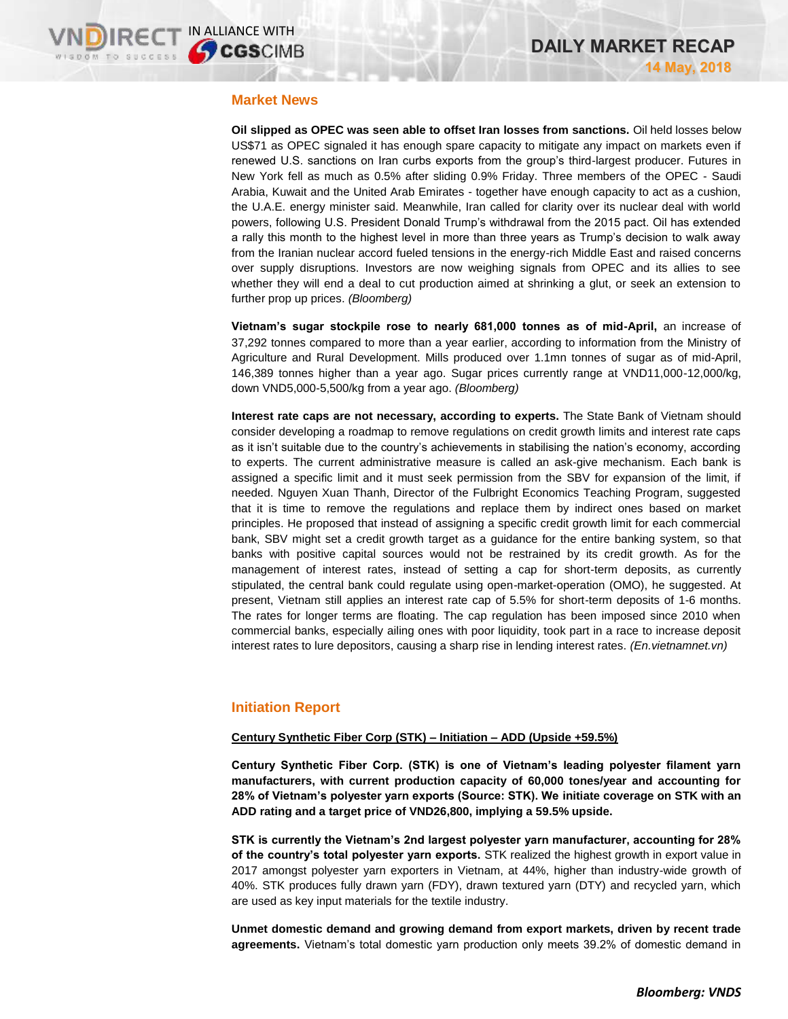### **Market News**

**Oil slipped as OPEC was seen able to offset Iran losses from sanctions.** Oil held losses below US\$71 as OPEC signaled it has enough spare capacity to mitigate any impact on markets even if renewed U.S. sanctions on Iran curbs exports from the group's third-largest producer. Futures in New York fell as much as 0.5% after sliding 0.9% Friday. Three members of the OPEC - Saudi Arabia, Kuwait and the United Arab Emirates - together have enough capacity to act as a cushion, the U.A.E. energy minister said. Meanwhile, Iran called for clarity over its nuclear deal with world powers, following U.S. President Donald Trump's withdrawal from the 2015 pact. Oil has extended a rally this month to the highest level in more than three years as Trump's decision to walk away from the Iranian nuclear accord fueled tensions in the energy-rich Middle East and raised concerns over supply disruptions. Investors are now weighing signals from OPEC and its allies to see whether they will end a deal to cut production aimed at shrinking a glut, or seek an extension to further prop up prices. *(Bloomberg)*

**Vietnam's sugar stockpile rose to nearly 681,000 tonnes as of mid-April,** an increase of 37,292 tonnes compared to more than a year earlier, according to information from the Ministry of Agriculture and Rural Development. Mills produced over 1.1mn tonnes of sugar as of mid-April, 146,389 tonnes higher than a year ago. Sugar prices currently range at VND11,000-12,000/kg, down VND5,000-5,500/kg from a year ago. *(Bloomberg)*

**Interest rate caps are not necessary, according to experts.** The State Bank of Vietnam should consider developing a roadmap to remove regulations on credit growth limits and interest rate caps as it isn't suitable due to the country's achievements in stabilising the nation's economy, according to experts. The current administrative measure is called an ask-give mechanism. Each bank is assigned a specific limit and it must seek permission from the SBV for expansion of the limit, if needed. Nguyen Xuan Thanh, Director of the Fulbright Economics Teaching Program, suggested that it is time to remove the regulations and replace them by indirect ones based on market principles. He proposed that instead of assigning a specific credit growth limit for each commercial bank, SBV might set a credit growth target as a guidance for the entire banking system, so that banks with positive capital sources would not be restrained by its credit growth. As for the management of interest rates, instead of setting a cap for short-term deposits, as currently stipulated, the central bank could regulate using open-market-operation (OMO), he suggested. At present, Vietnam still applies an interest rate cap of 5.5% for short-term deposits of 1-6 months. The rates for longer terms are floating. The cap regulation has been imposed since 2010 when commercial banks, especially ailing ones with poor liquidity, took part in a race to increase deposit interest rates to lure depositors, causing a sharp rise in lending interest rates. *(En.vietnamnet.vn)*

## **Initiation Report**

### **Century Synthetic Fiber Corp (STK) – Initiation – ADD (Upside +59.5%)**

**Century Synthetic Fiber Corp. (STK) is one of Vietnam's leading polyester filament yarn manufacturers, with current production capacity of 60,000 tones/year and accounting for 28% of Vietnam's polyester yarn exports (Source: STK). We initiate coverage on STK with an ADD rating and a target price of VND26,800, implying a 59.5% upside.** 

**STK is currently the Vietnam's 2nd largest polyester yarn manufacturer, accounting for 28% of the country's total polyester yarn exports.** STK realized the highest growth in export value in 2017 amongst polyester yarn exporters in Vietnam, at 44%, higher than industry-wide growth of 40%. STK produces fully drawn yarn (FDY), drawn textured yarn (DTY) and recycled yarn, which are used as key input materials for the textile industry.

**Unmet domestic demand and growing demand from export markets, driven by recent trade agreements.** Vietnam's total domestic yarn production only meets 39.2% of domestic demand in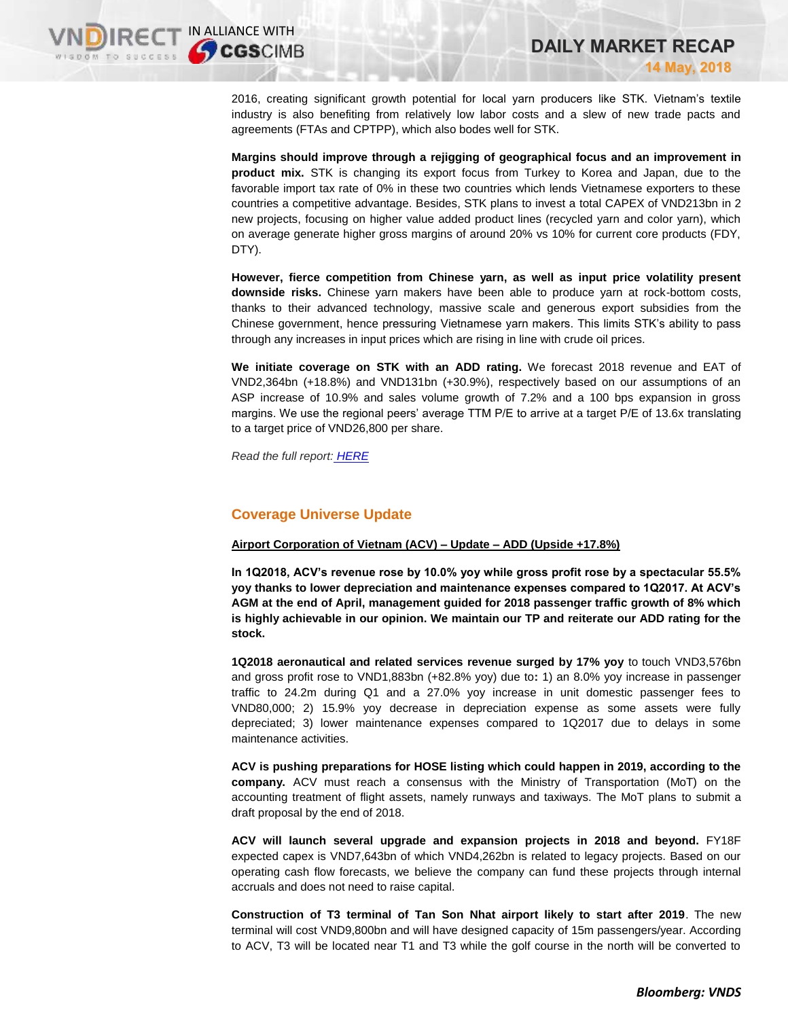2016, creating significant growth potential for local yarn producers like STK. Vietnam's textile industry is also benefiting from relatively low labor costs and a slew of new trade pacts and agreements (FTAs and CPTPP), which also bodes well for STK.

**Margins should improve through a rejigging of geographical focus and an improvement in product mix.** STK is changing its export focus from Turkey to Korea and Japan, due to the favorable import tax rate of 0% in these two countries which lends Vietnamese exporters to these countries a competitive advantage. Besides, STK plans to invest a total CAPEX of VND213bn in 2 new projects, focusing on higher value added product lines (recycled yarn and color yarn), which on average generate higher gross margins of around 20% vs 10% for current core products (FDY, DTY).

**However, fierce competition from Chinese yarn, as well as input price volatility present downside risks.** Chinese yarn makers have been able to produce yarn at rock-bottom costs, thanks to their advanced technology, massive scale and generous export subsidies from the Chinese government, hence pressuring Vietnamese yarn makers. This limits STK's ability to pass through any increases in input prices which are rising in line with crude oil prices.

**We initiate coverage on STK with an ADD rating.** We forecast 2018 revenue and EAT of VND2,364bn (+18.8%) and VND131bn (+30.9%), respectively based on our assumptions of an ASP increase of 10.9% and sales volume growth of 7.2% and a 100 bps expansion in gross margins. We use the regional peers' average TTM P/E to arrive at a target P/E of 13.6x translating to a target price of VND26,800 per share.

*Read the full report: [HERE](https://static-02.vndirect.com.vn/uploads/prod/STK-Initiation_20180514.pdf)*

## **Coverage Universe Update**

#### **Airport Corporation of Vietnam (ACV) – Update – ADD (Upside +17.8%)**

**In 1Q2018, ACV's revenue rose by 10.0% yoy while gross profit rose by a spectacular 55.5% yoy thanks to lower depreciation and maintenance expenses compared to 1Q2017. At ACV's AGM at the end of April, management guided for 2018 passenger traffic growth of 8% which is highly achievable in our opinion. We maintain our TP and reiterate our ADD rating for the stock.**

**1Q2018 aeronautical and related services revenue surged by 17% yoy** to touch VND3,576bn and gross profit rose to VND1,883bn (+82.8% yoy) due to**:** 1) an 8.0% yoy increase in passenger traffic to 24.2m during Q1 and a 27.0% yoy increase in unit domestic passenger fees to VND80,000; 2) 15.9% yoy decrease in depreciation expense as some assets were fully depreciated; 3) lower maintenance expenses compared to 1Q2017 due to delays in some maintenance activities.

**ACV is pushing preparations for HOSE listing which could happen in 2019, according to the company.** ACV must reach a consensus with the Ministry of Transportation (MoT) on the accounting treatment of flight assets, namely runways and taxiways. The MoT plans to submit a draft proposal by the end of 2018.

**ACV will launch several upgrade and expansion projects in 2018 and beyond.** FY18F expected capex is VND7,643bn of which VND4,262bn is related to legacy projects. Based on our operating cash flow forecasts, we believe the company can fund these projects through internal accruals and does not need to raise capital.

**Construction of T3 terminal of Tan Son Nhat airport likely to start after 2019**. The new terminal will cost VND9,800bn and will have designed capacity of 15m passengers/year. According to ACV, T3 will be located near T1 and T3 while the golf course in the north will be converted to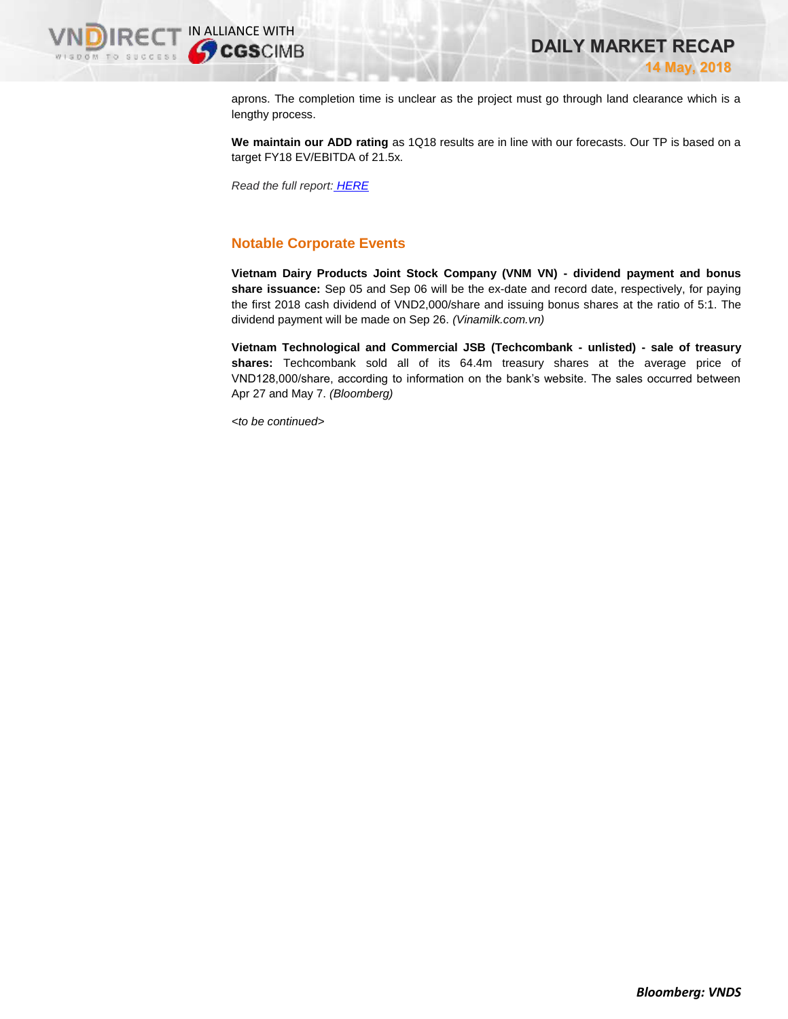

aprons. The completion time is unclear as the project must go through land clearance which is a lengthy process.

**We maintain our ADD rating** as 1Q18 results are in line with our forecasts. Our TP is based on a target FY18 EV/EBITDA of 21.5x.

*Read the full report: [HERE](https://static-02.vndirect.com.vn/uploads/prod/ACV-Update-20180514.pdf)*

## **Notable Corporate Events**

**Vietnam Dairy Products Joint Stock Company (VNM VN) - dividend payment and bonus share issuance:** Sep 05 and Sep 06 will be the ex-date and record date, respectively, for paying the first 2018 cash dividend of VND2,000/share and issuing bonus shares at the ratio of 5:1. The dividend payment will be made on Sep 26. *(Vinamilk.com.vn)*

**Vietnam Technological and Commercial JSB (Techcombank - unlisted) - sale of treasury shares:** Techcombank sold all of its 64.4m treasury shares at the average price of VND128,000/share, according to information on the bank's website. The sales occurred between Apr 27 and May 7. *(Bloomberg)*

*<to be continued>*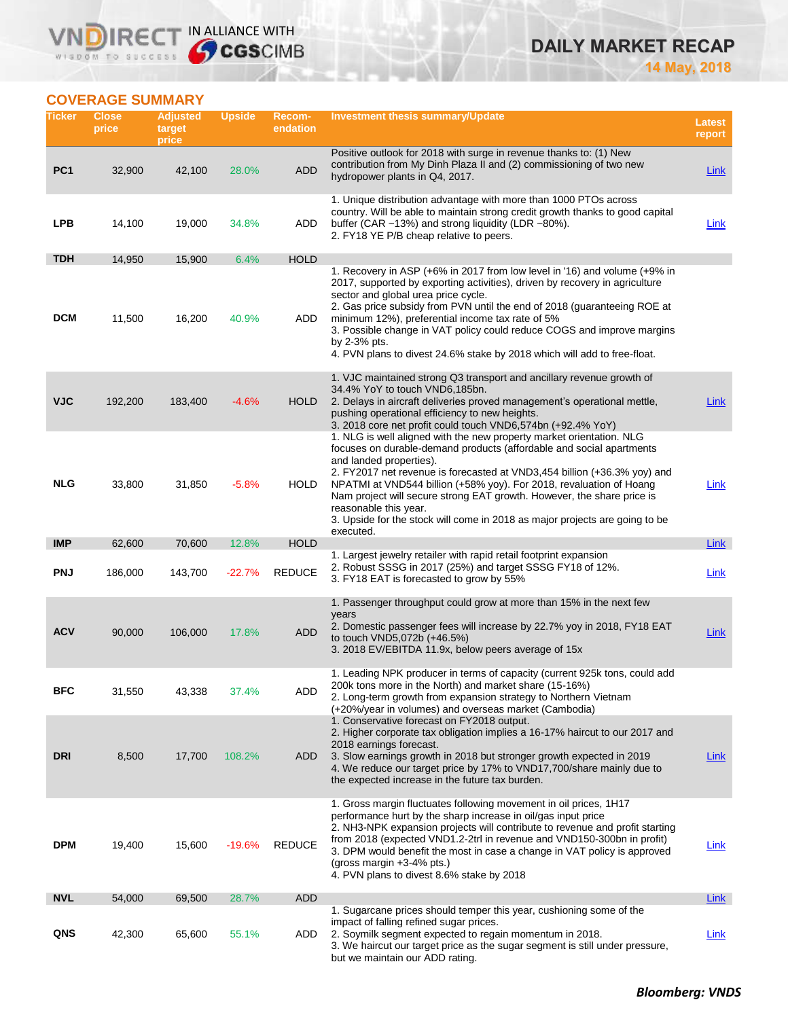## **IRECT IN ALLIANCE WITH VND** WISDOM TO SUCCESS

# **DAILY MARKET RECAP**

**14 May, 2018**

## **COVERAGE SUMMARY**

| Ticker                   | <b>Close</b><br>price | <b>Adjusted</b><br>target<br>price | Upside           | <b>Recom-</b><br>endation  | <b>Investment thesis summary/Update</b>                                                                                                                                                                                                                                                                                                                                                                                                                                                                                   | <b>Latest</b><br>report |
|--------------------------|-----------------------|------------------------------------|------------------|----------------------------|---------------------------------------------------------------------------------------------------------------------------------------------------------------------------------------------------------------------------------------------------------------------------------------------------------------------------------------------------------------------------------------------------------------------------------------------------------------------------------------------------------------------------|-------------------------|
| PC <sub>1</sub>          | 32,900                | 42,100                             | 28.0%            | <b>ADD</b>                 | Positive outlook for 2018 with surge in revenue thanks to: (1) New<br>contribution from My Dinh Plaza II and (2) commissioning of two new<br>hydropower plants in Q4, 2017.                                                                                                                                                                                                                                                                                                                                               | Link                    |
| <b>LPB</b>               | 14,100                | 19,000                             | 34.8%            | ADD                        | 1. Unique distribution advantage with more than 1000 PTOs across<br>country. Will be able to maintain strong credit growth thanks to good capital<br>buffer (CAR ~13%) and strong liquidity (LDR ~80%).<br>2. FY18 YE P/B cheap relative to peers.                                                                                                                                                                                                                                                                        | Link                    |
| <b>TDH</b>               | 14,950                | 15,900                             | 6.4%             | <b>HOLD</b>                |                                                                                                                                                                                                                                                                                                                                                                                                                                                                                                                           |                         |
| <b>DCM</b>               | 11,500                | 16,200                             | 40.9%            | ADD                        | 1. Recovery in ASP (+6% in 2017 from low level in '16) and volume (+9% in<br>2017, supported by exporting activities), driven by recovery in agriculture<br>sector and global urea price cycle.<br>2. Gas price subsidy from PVN until the end of 2018 (guaranteeing ROE at<br>minimum 12%), preferential income tax rate of 5%<br>3. Possible change in VAT policy could reduce COGS and improve margins<br>by $2-3%$ pts.<br>4. PVN plans to divest 24.6% stake by 2018 which will add to free-float.                   |                         |
| <b>VJC</b>               | 192,200               | 183,400                            | $-4.6%$          | <b>HOLD</b>                | 1. VJC maintained strong Q3 transport and ancillary revenue growth of<br>34.4% YoY to touch VND6,185bn.<br>2. Delays in aircraft deliveries proved management's operational mettle,<br>pushing operational efficiency to new heights.<br>3. 2018 core net profit could touch VND6,574bn (+92.4% YoY)                                                                                                                                                                                                                      | Link                    |
| <b>NLG</b><br><b>IMP</b> | 33,800<br>62,600      | 31,850<br>70,600                   | $-5.8%$<br>12.8% | <b>HOLD</b><br><b>HOLD</b> | 1. NLG is well aligned with the new property market orientation. NLG<br>focuses on durable-demand products (affordable and social apartments<br>and landed properties).<br>2. FY2017 net revenue is forecasted at VND3,454 billion (+36.3% yoy) and<br>NPATMI at VND544 billion (+58% yoy). For 2018, revaluation of Hoang<br>Nam project will secure strong EAT growth. However, the share price is<br>reasonable this year.<br>3. Upside for the stock will come in 2018 as major projects are going to be<br>executed. | Link<br><b>Link</b>     |
|                          |                       |                                    |                  |                            | 1. Largest jewelry retailer with rapid retail footprint expansion                                                                                                                                                                                                                                                                                                                                                                                                                                                         |                         |
| <b>PNJ</b>               | 186,000               | 143,700                            | $-22.7%$         | <b>REDUCE</b>              | 2. Robust SSSG in 2017 (25%) and target SSSG FY18 of 12%.<br>3. FY18 EAT is forecasted to grow by 55%                                                                                                                                                                                                                                                                                                                                                                                                                     | <u>Link</u>             |
| <b>ACV</b>               | 90,000                | 106,000                            | 17.8%            | <b>ADD</b>                 | 1. Passenger throughput could grow at more than 15% in the next few<br>years<br>2. Domestic passenger fees will increase by 22.7% yoy in 2018, FY18 EAT<br>to touch VND5,072b (+46.5%)<br>3. 2018 EV/EBITDA 11.9x, below peers average of 15x                                                                                                                                                                                                                                                                             | <b>Link</b>             |
| BFC                      | 31,550                | 43,338                             | 37.4%            | <b>ADD</b>                 | 1. Leading NPK producer in terms of capacity (current 925k tons, could add<br>200k tons more in the North) and market share (15-16%)<br>2. Long-term growth from expansion strategy to Northern Vietnam<br>(+20%/year in volumes) and overseas market (Cambodia)<br>1. Conservative forecast on FY2018 output.<br>2. Higher corporate tax obligation implies a 16-17% haircut to our 2017 and<br>2018 earnings forecast.                                                                                                  |                         |
| <b>DRI</b>               | 8,500                 | 17,700                             | 108.2%           | ADD                        | 3. Slow earnings growth in 2018 but stronger growth expected in 2019<br>4. We reduce our target price by 17% to VND17,700/share mainly due to<br>the expected increase in the future tax burden.                                                                                                                                                                                                                                                                                                                          | Link                    |
| <b>DPM</b>               | 19,400                | 15,600                             | $-19.6%$         | <b>REDUCE</b>              | 1. Gross margin fluctuates following movement in oil prices, 1H17<br>performance hurt by the sharp increase in oil/gas input price<br>2. NH3-NPK expansion projects will contribute to revenue and profit starting<br>from 2018 (expected VND1.2-2trl in revenue and VND150-300bn in profit)<br>3. DPM would benefit the most in case a change in VAT policy is approved<br>(gross margin $+3-4\%$ pts.)<br>4. PVN plans to divest 8.6% stake by 2018                                                                     | <u>Link</u>             |
| <b>NVL</b>               | 54,000                | 69,500                             | 28.7%            | <b>ADD</b>                 |                                                                                                                                                                                                                                                                                                                                                                                                                                                                                                                           | <b>Link</b>             |
| QNS                      | 42,300                | 65,600                             | 55.1%            | ADD                        | 1. Sugarcane prices should temper this year, cushioning some of the<br>impact of falling refined sugar prices.<br>2. Soymilk segment expected to regain momentum in 2018.<br>3. We haircut our target price as the sugar segment is still under pressure,<br>but we maintain our ADD rating.                                                                                                                                                                                                                              | Link                    |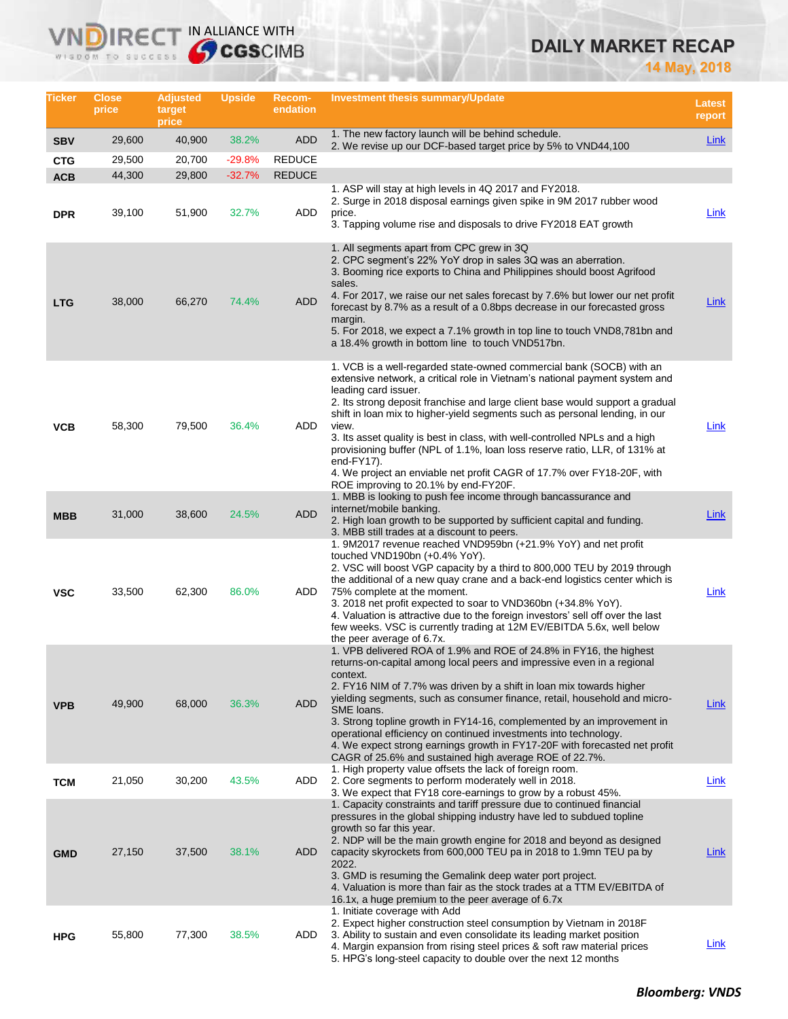# **DAILY MARKET RECAP**

**14 May, 2018**

| Ticker                   | <b>Close</b><br>price | <b>Adjusted</b><br>target<br>price | <b>Upside</b>     | <b>Recom-</b><br>endation | Investment thesis summary/Update                                                                                                                                                                                                                                                                                                                                                                                                                                                                                                                                                                                                                  | <b>Latest</b><br>report |
|--------------------------|-----------------------|------------------------------------|-------------------|---------------------------|---------------------------------------------------------------------------------------------------------------------------------------------------------------------------------------------------------------------------------------------------------------------------------------------------------------------------------------------------------------------------------------------------------------------------------------------------------------------------------------------------------------------------------------------------------------------------------------------------------------------------------------------------|-------------------------|
| <b>SBV</b>               | 29,600                | 40,900                             | 38.2%             | <b>ADD</b>                | 1. The new factory launch will be behind schedule.<br>2. We revise up our DCF-based target price by 5% to VND44,100                                                                                                                                                                                                                                                                                                                                                                                                                                                                                                                               | Link                    |
| <b>CTG</b>               | 29,500                | 20,700                             | $-29.8%$          | <b>REDUCE</b>             |                                                                                                                                                                                                                                                                                                                                                                                                                                                                                                                                                                                                                                                   |                         |
| <b>ACB</b><br><b>DPR</b> | 44,300<br>39,100      | 29,800<br>51,900                   | $-32.7%$<br>32.7% | <b>REDUCE</b><br>ADD      | 1. ASP will stay at high levels in 4Q 2017 and FY2018.<br>2. Surge in 2018 disposal earnings given spike in 9M 2017 rubber wood<br>price.<br>3. Tapping volume rise and disposals to drive FY2018 EAT growth                                                                                                                                                                                                                                                                                                                                                                                                                                      | <b>Link</b>             |
| <b>LTG</b>               | 38,000                | 66,270                             | 74.4%             | <b>ADD</b>                | 1. All segments apart from CPC grew in 3Q<br>2. CPC segment's 22% YoY drop in sales 3Q was an aberration.<br>3. Booming rice exports to China and Philippines should boost Agrifood<br>sales.<br>4. For 2017, we raise our net sales forecast by 7.6% but lower our net profit<br>forecast by 8.7% as a result of a 0.8bps decrease in our forecasted gross<br>margin.<br>5. For 2018, we expect a 7.1% growth in top line to touch VND8,781bn and<br>a 18.4% growth in bottom line to touch VND517bn.                                                                                                                                            | Link                    |
| <b>VCB</b>               | 58,300                | 79,500                             | 36.4%             | ADD                       | 1. VCB is a well-regarded state-owned commercial bank (SOCB) with an<br>extensive network, a critical role in Vietnam's national payment system and<br>leading card issuer.<br>2. Its strong deposit franchise and large client base would support a gradual<br>shift in loan mix to higher-yield segments such as personal lending, in our<br>view.<br>3. Its asset quality is best in class, with well-controlled NPLs and a high<br>provisioning buffer (NPL of 1.1%, loan loss reserve ratio, LLR, of 131% at<br>end-FY17).<br>4. We project an enviable net profit CAGR of 17.7% over FY18-20F, with<br>ROE improving to 20.1% by end-FY20F. | Link                    |
| <b>MBB</b>               | 31,000                | 38,600                             | 24.5%             | <b>ADD</b>                | 1. MBB is looking to push fee income through bancassurance and<br>internet/mobile banking.<br>2. High loan growth to be supported by sufficient capital and funding.<br>3. MBB still trades at a discount to peers.                                                                                                                                                                                                                                                                                                                                                                                                                               | Link                    |
| <b>VSC</b>               | 33,500                | 62,300                             | 86.0%             | ADD                       | 1. 9M2017 revenue reached VND959bn (+21.9% YoY) and net profit<br>touched VND190bn (+0.4% YoY).<br>2. VSC will boost VGP capacity by a third to 800,000 TEU by 2019 through<br>the additional of a new quay crane and a back-end logistics center which is<br>75% complete at the moment.<br>3. 2018 net profit expected to soar to VND360bn (+34.8% YoY).<br>4. Valuation is attractive due to the foreign investors' sell off over the last<br>few weeks. VSC is currently trading at 12M EV/EBITDA 5.6x, well below<br>the peer average of 6.7x.                                                                                               | Link                    |
| <b>VPB</b>               | 49,900                | 68,000                             | 36.3%             | <b>ADD</b>                | 1. VPB delivered ROA of 1.9% and ROE of 24.8% in FY16, the highest<br>returns-on-capital among local peers and impressive even in a regional<br>context.<br>2. FY16 NIM of 7.7% was driven by a shift in loan mix towards higher<br>yielding segments, such as consumer finance, retail, household and micro-<br>SME loans.<br>3. Strong topline growth in FY14-16, complemented by an improvement in<br>operational efficiency on continued investments into technology.<br>4. We expect strong earnings growth in FY17-20F with forecasted net profit<br>CAGR of 25.6% and sustained high average ROE of 22.7%.                                 | <u>Link</u>             |
| <b>TCM</b>               | 21,050                | 30,200                             | 43.5%             | ADD                       | 1. High property value offsets the lack of foreign room.<br>2. Core segments to perform moderately well in 2018.<br>3. We expect that FY18 core-earnings to grow by a robust 45%.                                                                                                                                                                                                                                                                                                                                                                                                                                                                 | Link                    |
| <b>GMD</b>               | 27,150                | 37,500                             | 38.1%             | <b>ADD</b>                | 1. Capacity constraints and tariff pressure due to continued financial<br>pressures in the global shipping industry have led to subdued topline<br>growth so far this year.<br>2. NDP will be the main growth engine for 2018 and beyond as designed<br>capacity skyrockets from 600,000 TEU pa in 2018 to 1.9mn TEU pa by<br>2022.<br>3. GMD is resuming the Gemalink deep water port project.<br>4. Valuation is more than fair as the stock trades at a TTM EV/EBITDA of<br>16.1x, a huge premium to the peer average of 6.7x                                                                                                                  | <u>Link</u>             |
| <b>HPG</b>               | 55,800                | 77,300                             | 38.5%             | ADD                       | 1. Initiate coverage with Add<br>2. Expect higher construction steel consumption by Vietnam in 2018 F<br>3. Ability to sustain and even consolidate its leading market position<br>4. Margin expansion from rising steel prices & soft raw material prices<br>5. HPG's long-steel capacity to double over the next 12 months                                                                                                                                                                                                                                                                                                                      | <u>Link</u>             |

**VNDIRECT IN ALLIANCE WITH**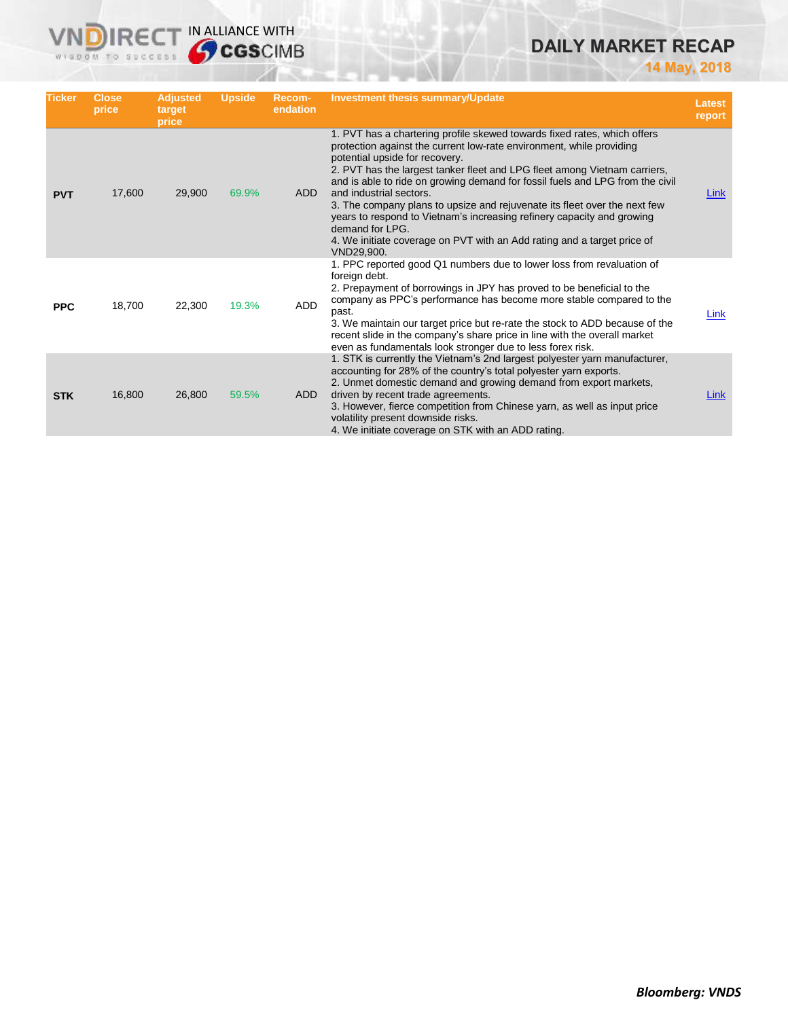## **DAILY MARKET RECAP**

**14 May, 2018**

| <b>Ticker</b> | Close,<br>price | <b>Adjusted</b><br>target<br>price | <b>Upside</b> | Recom-<br>endation | <b>Investment thesis summary/Update</b>                                                                                                                                                                                                                                                                                                                                                                                                                                                                                                                                                                                                        | <b>Latest</b><br>report |
|---------------|-----------------|------------------------------------|---------------|--------------------|------------------------------------------------------------------------------------------------------------------------------------------------------------------------------------------------------------------------------------------------------------------------------------------------------------------------------------------------------------------------------------------------------------------------------------------------------------------------------------------------------------------------------------------------------------------------------------------------------------------------------------------------|-------------------------|
| <b>PVT</b>    | 17,600          | 29,900                             | 69.9%         | <b>ADD</b>         | 1. PVT has a chartering profile skewed towards fixed rates, which offers<br>protection against the current low-rate environment, while providing<br>potential upside for recovery.<br>2. PVT has the largest tanker fleet and LPG fleet among Vietnam carriers,<br>and is able to ride on growing demand for fossil fuels and LPG from the civil<br>and industrial sectors.<br>3. The company plans to upsize and rejuvenate its fleet over the next few<br>years to respond to Vietnam's increasing refinery capacity and growing<br>demand for LPG.<br>4. We initiate coverage on PVT with an Add rating and a target price of<br>VND29,900. | Link                    |
| <b>PPC</b>    | 18,700          | 22.300                             | 19.3%         | ADD                | 1. PPC reported good Q1 numbers due to lower loss from revaluation of<br>foreign debt.<br>2. Prepayment of borrowings in JPY has proved to be beneficial to the<br>company as PPC's performance has become more stable compared to the<br>past.<br>3. We maintain our target price but re-rate the stock to ADD because of the<br>recent slide in the company's share price in line with the overall market<br>even as fundamentals look stronger due to less forex risk.                                                                                                                                                                      | Link                    |
| <b>STK</b>    | 16,800          | 26,800                             | 59.5%         | <b>ADD</b>         | 1. STK is currently the Vietnam's 2nd largest polyester yarn manufacturer,<br>accounting for 28% of the country's total polyester yarn exports.<br>2. Unmet domestic demand and growing demand from export markets,<br>driven by recent trade agreements.<br>3. However, fierce competition from Chinese yarn, as well as input price<br>volatility present downside risks.<br>4. We initiate coverage on STK with an ADD rating.                                                                                                                                                                                                              | Link                    |

**VNDIRECT IN ALLIANCE WITH**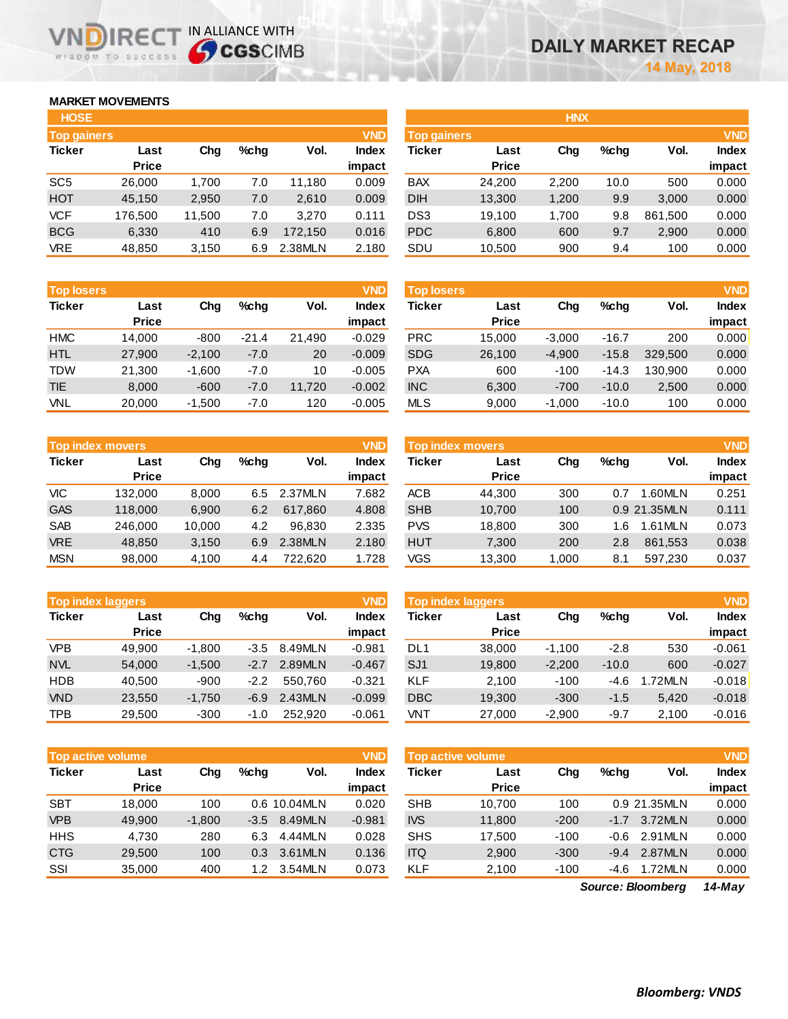## **MARKET MOVEMENTS**

WISDOM TO SUCCESS

**IREC** 

| <b>HOSE</b>        |              |        |      |         |              |
|--------------------|--------------|--------|------|---------|--------------|
| <b>Top gainers</b> |              |        |      |         | <b>VND</b>   |
| <b>Ticker</b>      | Last         | Cha    | %chq | Vol.    | <b>Index</b> |
|                    | <b>Price</b> |        |      |         | impact       |
| SC <sub>5</sub>    | 26,000       | 1,700  | 7.0  | 11,180  | 0.009        |
| <b>HOT</b>         | 45,150       | 2,950  | 7.0  | 2,610   | 0.009        |
| <b>VCF</b>         | 176,500      | 11,500 | 7.0  | 3,270   | 0.111        |
| <b>BCG</b>         | 6,330        | 410    | 6.9  | 172,150 | 0.016        |
| <b>VRE</b>         | 48,850       | 3,150  | 6.9  | 2.38MLN | 2.180        |

IN ALLIANCE WITH

| <b>Top losers</b> |              |          |         |        | <b>VND</b>   |
|-------------------|--------------|----------|---------|--------|--------------|
| <b>Ticker</b>     | Last         | Cha      | %chq    | Vol.   | <b>Index</b> |
|                   | <b>Price</b> |          |         |        | impact       |
| <b>HMC</b>        | 14,000       | $-800$   | $-21.4$ | 21,490 | $-0.029$     |
| <b>HTL</b>        | 27,900       | $-2,100$ | $-7.0$  | 20     | $-0.009$     |
| <b>TDW</b>        | 21,300       | $-1,600$ | $-7.0$  | 10     | $-0.005$     |
| <b>TIE</b>        | 8,000        | $-600$   | $-7.0$  | 11,720 | $-0.002$     |
| <b>VNL</b>        | 20,000       | $-1,500$ | $-7.0$  | 120    | $-0.005$     |

| <b>VND</b><br><b>Top index movers</b> |              |        |      |         |              |  |  |  |
|---------------------------------------|--------------|--------|------|---------|--------------|--|--|--|
| <b>Ticker</b>                         | Last         | Cha    | %chq | Vol.    | <b>Index</b> |  |  |  |
|                                       | <b>Price</b> |        |      |         | impact       |  |  |  |
| VIC                                   | 132,000      | 8,000  | 6.5  | 2.37MLN | 7.682        |  |  |  |
| <b>GAS</b>                            | 118,000      | 6,900  | 6.2  | 617,860 | 4.808        |  |  |  |
| <b>SAB</b>                            | 246,000      | 10,000 | 4.2  | 96.830  | 2.335        |  |  |  |
| <b>VRE</b>                            | 48,850       | 3,150  | 6.9  | 2.38MLN | 2.180        |  |  |  |
| <b>MSN</b>                            | 98,000       | 4,100  | 4.4  | 722,620 | 1.728        |  |  |  |

| <b>VND</b><br><b>Top index laggers</b> |              |          |        |         |              |  |  |  |  |
|----------------------------------------|--------------|----------|--------|---------|--------------|--|--|--|--|
| <b>Ticker</b>                          | Last         | Cha      | %chq   | Vol.    | <b>Index</b> |  |  |  |  |
|                                        | <b>Price</b> |          |        |         | impact       |  |  |  |  |
| <b>VPB</b>                             | 49.900       | $-1,800$ | $-3.5$ | 8.49MLN | $-0.981$     |  |  |  |  |
| <b>NVL</b>                             | 54,000       | $-1,500$ | $-2.7$ | 2.89MLN | $-0.467$     |  |  |  |  |
| <b>HDB</b>                             | 40,500       | $-900$   | $-2.2$ | 550,760 | $-0.321$     |  |  |  |  |
| <b>VND</b>                             | 23,550       | $-1,750$ | -6.9   | 2.43MLN | $-0.099$     |  |  |  |  |
| <b>TPB</b>                             | 29,500       | $-300$   | $-1.0$ | 252,920 | $-0.061$     |  |  |  |  |

| <b>Top active volume</b> | <b>VND</b>   |          |         |              |              |
|--------------------------|--------------|----------|---------|--------------|--------------|
| <b>Ticker</b>            | Last         | Cha      | $%$ chq | Vol.         | <b>Index</b> |
|                          | <b>Price</b> |          |         |              | impact       |
| <b>SBT</b>               | 18,000       | 100      |         | 0.6 10.04MLN | 0.020        |
| <b>VPB</b>               | 49.900       | $-1,800$ | $-3.5$  | 8.49MLN      | $-0.981$     |
| <b>HHS</b>               | 4,730        | 280      | 6.3     | 4.44MLN      | 0.028        |
| <b>CTG</b>               | 29,500       | 100      | 0.3     | 3.61MLN      | 0.136        |
| SSI                      | 35,000       | 400      | 1.2     | 3.54MLN      | 0.073        |

| <b>Top gainers</b> |        |         |         | <b>VND</b>   |                 |              |                    |         |            | <b>VND</b>   |
|--------------------|--------|---------|---------|--------------|-----------------|--------------|--------------------|---------|------------|--------------|
| Last               | Chg    | $%$ chq | Vol.    | <b>Index</b> | Ticker          | Last         | Chg                | $%$ chq | Vol.       | <b>Index</b> |
| <b>Price</b>       |        |         |         | impact       |                 | <b>Price</b> |                    |         |            | impact       |
| 26,000             | 1,700  | 7.0     | 11.180  | 0.009        | <b>BAX</b>      | 24,200       | 2,200              | 10.0    | 500        | 0.000        |
| 45.150             | 2,950  | 7.0     | 2,610   | 0.009        | <b>DIH</b>      | 13,300       | 1,200              | 9.9     | 3,000      | 0.000        |
| 176,500            | 11,500 | 7.0     | 3.270   | 0.111        | DS <sub>3</sub> | 19,100       | 1,700              | 9.8     | 861,500    | 0.000        |
| 6,330              | 410    | 6.9     | 172.150 | 0.016        | <b>PDC</b>      | 6,800        | 600                | 9.7     | 2,900      | 0.000        |
| 48,850             | 3,150  | 6.9     | 2.38MLN | 2.180        | SDU             | 10,500       | 900                | 9.4     | 100        | 0.000        |
|                    |        |         |         |              |                 |              | <b>Top gainers</b> |         | <b>HNX</b> |              |

| <b>VND</b><br><b>Top losers</b> |                      |          |         |        |                        | <b>VND</b><br><b>Top losers</b> |                      |          |         |         |                        |
|---------------------------------|----------------------|----------|---------|--------|------------------------|---------------------------------|----------------------|----------|---------|---------|------------------------|
| <b>Ticker</b>                   | Last<br><b>Price</b> | Chg      | $%$ chq | Vol.   | <b>Index</b><br>impact | Ticker                          | Last<br><b>Price</b> | Chg      | $%$ chq | Vol.    | <b>Index</b><br>impact |
| <b>HMC</b>                      | 14.000               | $-800$   | $-21.4$ | 21.490 | $-0.029$               | <b>PRC</b>                      | 15,000               | $-3.000$ | $-16.7$ | 200     | 0.000                  |
| <b>HTL</b>                      | 27,900               | $-2,100$ | $-7.0$  | 20     | $-0.009$               | <b>SDG</b>                      | 26,100               | $-4,900$ | $-15.8$ | 329,500 | 0.000                  |
| TDW                             | 21,300               | $-1.600$ | $-7.0$  | 10     | $-0.005$               | <b>PXA</b>                      | 600                  | $-100$   | $-14.3$ | 130.900 | 0.000                  |
| <b>TIE</b>                      | 8,000                | $-600$   | $-7.0$  | 11.720 | $-0.002$               | <b>INC</b>                      | 6,300                | $-700$   | $-10.0$ | 2,500   | 0.000                  |
| VNL                             | 20,000               | $-1,500$ | $-7.0$  | 120    | $-0.005$               | <b>MLS</b>                      | 9,000                | $-1,000$ | $-10.0$ | 100     | 0.000                  |

|            | Top index movers |        |         |         | <b>VND</b> | <b>VND</b><br>Top index movers |              |        |         |              |              |
|------------|------------------|--------|---------|---------|------------|--------------------------------|--------------|--------|---------|--------------|--------------|
| Ticker     | Last             | Chg    | $%$ chq | Vol.    | Index      | Ticker                         | Last         | Chg    | $%$ chq | Vol.         | <b>Index</b> |
|            | <b>Price</b>     |        |         |         | impact     |                                | <b>Price</b> |        |         |              | impact       |
| VIC        | 132.000          | 8,000  | 6.5     | 2.37MLN | 7.682      | <b>ACB</b>                     | 44,300       | 300    | 0.7     | .60MLN       | 0.251        |
| <b>GAS</b> | 118,000          | 6.900  | 6.2     | 617.860 | 4.808      | <b>SHB</b>                     | 10.700       | 100    |         | 0.9 21.35MLN | 0.111        |
| <b>SAB</b> | 246,000          | 10,000 | 4.2     | 96.830  | 2.335      | <b>PVS</b>                     | 18.800       | 300    | .6      | I.61MLN      | 0.073        |
| <b>VRE</b> | 48.850           | 3,150  | 6.9     | 2.38MLN | 2.180      | <b>HUT</b>                     | 7,300        | 200    | 2.8     | 861,553      | 0.038        |
| <b>MSN</b> | 98,000           | 4,100  | 4.4     | 722.620 | 1.728      | VGS                            | 13,300       | 000. ا | 8.1     | 597.230      | 0.037        |

| <b>Top index laggers</b> |              |          |        |         | <b>VND</b> | <b>Top index laggers</b> |              |          |         |        | <b>VND</b>   |
|--------------------------|--------------|----------|--------|---------|------------|--------------------------|--------------|----------|---------|--------|--------------|
| Ticker                   | Last         | Chg      | %chq   | Vol.    | Index      | Ticker                   | Last         | Chg      | $%$ chq | Vol.   | <b>Index</b> |
|                          | <b>Price</b> |          |        |         | impact     |                          | <b>Price</b> |          |         |        | impact       |
| <b>VPB</b>               | 49.900       | $-1,800$ | $-3.5$ | 8.49MLN | $-0.981$   | DL1                      | 38,000       | $-1.100$ | $-2.8$  | 530    | $-0.061$     |
| <b>NVL</b>               | 54.000       | $-1,500$ | $-2.7$ | 2.89MLN | $-0.467$   | SJ <sub>1</sub>          | 19,800       | $-2,200$ | $-10.0$ | 600    | $-0.027$     |
| HDB                      | 40.500       | $-900$   | $-2.2$ | 550.760 | $-0.321$   | KLF                      | 2.100        | $-100$   | $-4.6$  | .72MLN | $-0.018$     |
| <b>VND</b>               | 23,550       | $-1,750$ | $-6.9$ | 2.43MLN | $-0.099$   | <b>DBC</b>               | 19,300       | $-300$   | $-1.5$  | 5.420  | $-0.018$     |
| TPB                      | 29,500       | $-300$   | -1.0   | 252.920 | $-0.061$   | VNT                      | 27,000       | $-2.900$ | $-9.7$  | 2.100  | $-0.016$     |

| <b>Top active volume</b> |                      |          |        |              | <b>VND</b>   | <b>Top active volume</b> |                      |        |         |              | <b>VND</b>   |
|--------------------------|----------------------|----------|--------|--------------|--------------|--------------------------|----------------------|--------|---------|--------------|--------------|
| Ticker                   | Last<br><b>Price</b> | Chg      | %chq   | Vol.         | <b>Index</b> | Ticker                   | Last<br><b>Price</b> | Chg    | $%$ chq | Vol.         | <b>Index</b> |
|                          |                      |          |        |              | impact       |                          |                      |        |         |              | impact       |
| <b>SBT</b>               | 18.000               | 100      |        | 0.6 10.04MLN | 0.020        | <b>SHB</b>               | 10.700               | 100    |         | 0.9 21.35MLN | 0.000        |
| <b>VPB</b>               | 49,900               | $-1,800$ | $-3.5$ | 8.49MLN      | $-0.981$     | <b>IVS</b>               | 11,800               | $-200$ | $-1.7$  | 3.72MLN      | 0.000        |
| HHS                      | 4.730                | 280      | 6.3    | 4.44MLN      | 0.028        | <b>SHS</b>               | 17.500               | $-100$ | $-0.6$  | 2.91MLN      | 0.000        |
| <b>CTG</b>               | 29,500               | 100      | 0.3    | 3.61MLN      | 0.136        | <b>ITQ</b>               | 2,900                | $-300$ | $-9.4$  | 2.87MLN      | 0.000        |
| SSI                      | 35,000               | 400      | 1.2    | 3.54MLN      | 0.073        | <b>KLF</b>               | 2,100                | $-100$ | -4.6    | 1.72MLN      | 0.000        |

*14-May Source: Bloomberg*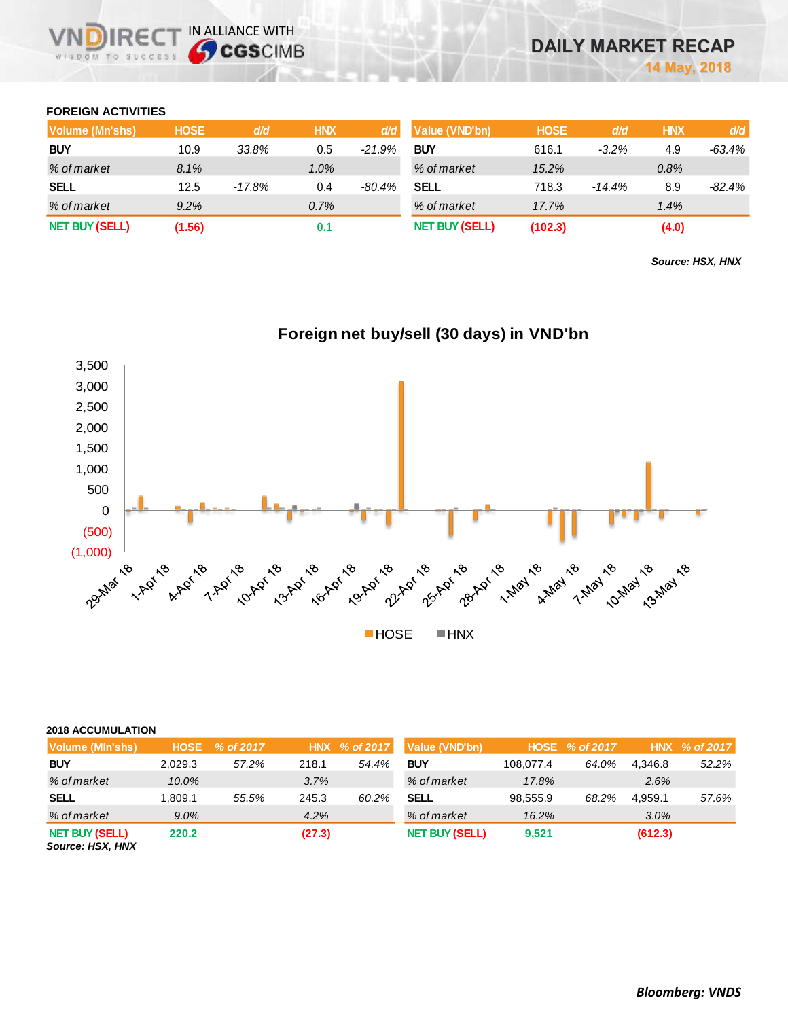### **FOREIGN ACTIVITIES**

| Volume (Mn'shs)       | <b>HOSE</b> | d/d    | <b>HNX</b> | d/d      | Value (VND'bn)        | <b>HOSE</b> | d/d      | <b>HNX</b> | d/d    |
|-----------------------|-------------|--------|------------|----------|-----------------------|-------------|----------|------------|--------|
| <b>BUY</b>            | 10.9        | 33.8%  | 0.5        | $-21.9%$ | <b>BUY</b>            | 616.1       | $-3.2\%$ | 4.9        | -63.4% |
| % of market           | 8.1%        |        | $1.0\%$    |          | % of market           | 15.2%       |          | 0.8%       |        |
| <b>SELL</b>           | 12.5        | -17.8% | 0.4        | -80.4%   | SELL                  | 718.3       | $-14.4%$ | 8.9        | -82.4% |
| % of market           | 9.2%        |        | 0.7%       |          | % of market           | 17.7%       |          | 1.4%       |        |
| <b>NET BUY (SELL)</b> | (1.56)      |        | 0.1        |          | <b>NET BUY (SELL)</b> | (102.3)     |          | (4.0)      |        |

*Source: HSX, HNX*



## **Foreign net buy/sell (30 days) in VND'bn**

| <b>2018 ACCUMULATION</b> |
|--------------------------|
|                          |

| Volume (MIn'shs)                              | <b>HOSE</b> | % of 2017 |        | HNX % of 2017 | Value (VND'bn)        |           | HOSE % of 2017 |         | HNX % of 2017 |
|-----------------------------------------------|-------------|-----------|--------|---------------|-----------------------|-----------|----------------|---------|---------------|
| <b>BUY</b>                                    | 2.029.3     | 57.2%     | 218.1  | 54.4%         | <b>BUY</b>            | 108.077.4 | 64.0%          | 4.346.8 | 52.2%         |
| % of market                                   | 10.0%       |           | 3.7%   |               | % of market           | 17.8%     |                | 2.6%    |               |
| <b>SELL</b>                                   | 1.809.1     | 55.5%     | 245.3  | 60.2%         | <b>SELL</b>           | 98.555.9  | 68.2%          | 4.959.1 | 57.6%         |
| % of market                                   | $9.0\%$     |           | 4.2%   |               | % of market           | 16.2%     |                | 3.0%    |               |
| <b>NET BUY (SELL)</b><br><b>COUTO HEY HAY</b> | 220.2       |           | (27.3) |               | <b>NET BUY (SELL)</b> | 9,521     |                | (612.3) |               |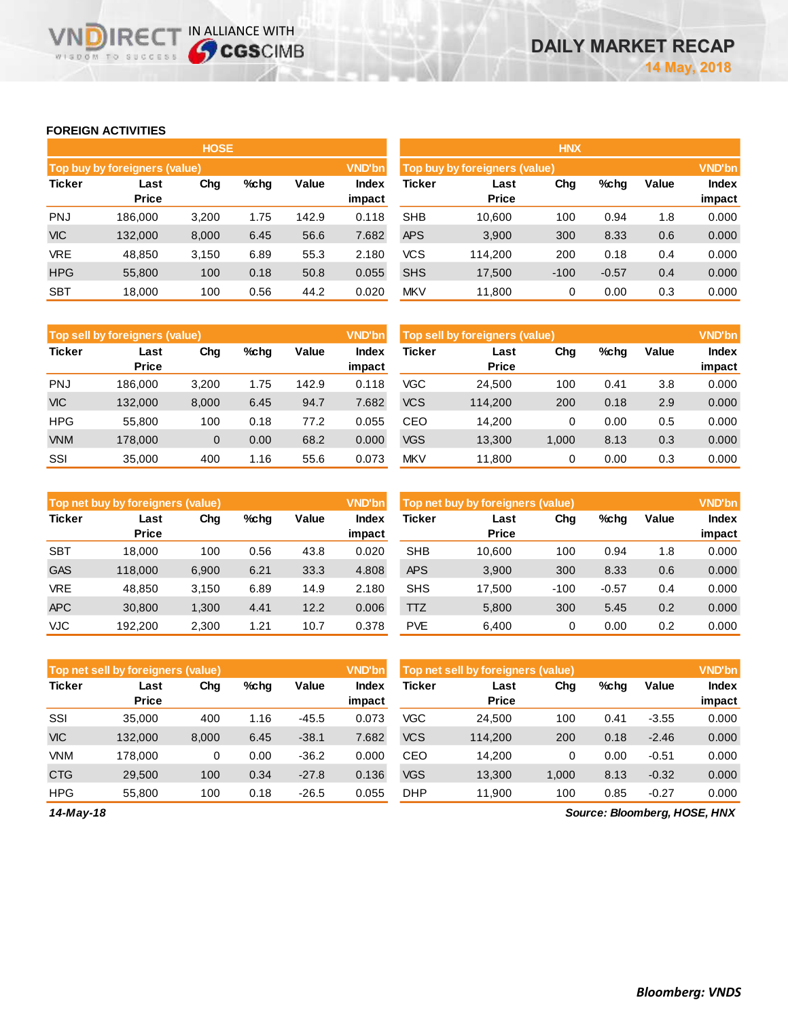## **FOREIGN ACTIVITIES**

WISDOM TO SUCCESS

**VNDIRECT IN ALLIANCE WITH** 

|               |                                      | <b>HOSE</b> |      |       |                 |                                                |                      | <b>HNX</b> |         |       |                 |
|---------------|--------------------------------------|-------------|------|-------|-----------------|------------------------------------------------|----------------------|------------|---------|-------|-----------------|
|               | <b>Top buy by foreigners (value)</b> |             |      |       | <b>VND'bn</b>   | <b>VND'bn</b><br>Top buy by foreigners (value) |                      |            |         |       |                 |
| <b>Ticker</b> | Last<br><b>Price</b>                 | Chg         | %chg | Value | Index<br>impact | Ticker                                         | Last<br><b>Price</b> | Chg        | %chg    | Value | Index<br>impact |
| <b>PNJ</b>    | 186.000                              | 3,200       | 1.75 | 142.9 | 0.118           | <b>SHB</b>                                     | 10,600               | 100        | 0.94    | 1.8   | 0.000           |
| <b>VIC</b>    | 132,000                              | 8,000       | 6.45 | 56.6  | 7.682           | <b>APS</b>                                     | 3,900                | 300        | 8.33    | 0.6   | 0.000           |
| <b>VRE</b>    | 48,850                               | 3,150       | 6.89 | 55.3  | 2.180           | <b>VCS</b>                                     | 114.200              | 200        | 0.18    | 0.4   | 0.000           |
| <b>HPG</b>    | 55,800                               | 100         | 0.18 | 50.8  | 0.055           | <b>SHS</b>                                     | 17,500               | $-100$     | $-0.57$ | 0.4   | 0.000           |
| <b>SBT</b>    | 18,000                               | 100         | 0.56 | 44.2  | 0.020           | <b>MKV</b>                                     | 11,800               | 0          | 0.00    | 0.3   | 0.000           |

|               | Top sell by foreigners (value) |       |      |       | <b>VND'bn</b>   | Top sell by foreigners (value) |                      |       |      |       | <b>VND'bn</b>   |
|---------------|--------------------------------|-------|------|-------|-----------------|--------------------------------|----------------------|-------|------|-------|-----------------|
| <b>Ticker</b> | Last<br><b>Price</b>           | Chg   | %chg | Value | Index<br>impact | Ticker                         | Last<br><b>Price</b> | Chg   | %chg | Value | Index<br>impact |
| <b>PNJ</b>    | 186.000                        | 3,200 | 1.75 | 142.9 | 0.118           | VGC                            | 24,500               | 100   | 0.41 | 3.8   | 0.000           |
| <b>VIC</b>    | 132,000                        | 8,000 | 6.45 | 94.7  | 7.682           | <b>VCS</b>                     | 114,200              | 200   | 0.18 | 2.9   | 0.000           |
| <b>HPG</b>    | 55.800                         | 100   | 0.18 | 77.2  | 0.055           | CEO                            | 14.200               | 0     | 0.00 | 0.5   | 0.000           |
| <b>VNM</b>    | 178,000                        | 0     | 0.00 | 68.2  | 0.000           | <b>VGS</b>                     | 13,300               | 1,000 | 8.13 | 0.3   | 0.000           |
| SSI           | 35,000                         | 400   | 1.16 | 55.6  | 0.073           | <b>MKV</b>                     | 11.800               | 0     | 0.00 | 0.3   | 0.000           |

|               | <b>VND'bn</b><br>Top net buy by foreigners (value) |       |      |       |                 |               | <b>VND'bn</b><br>Top net buy by foreigners (value) |        |         |       |                 |  |
|---------------|----------------------------------------------------|-------|------|-------|-----------------|---------------|----------------------------------------------------|--------|---------|-------|-----------------|--|
| <b>Ticker</b> | Last<br><b>Price</b>                               | Chg   | %chg | Value | Index<br>impact | <b>Ticker</b> | Last<br><b>Price</b>                               | Chg    | %chg    | Value | Index<br>impact |  |
| <b>SBT</b>    | 18.000                                             | 100   | 0.56 | 43.8  | 0.020           | <b>SHB</b>    | 10.600                                             | 100    | 0.94    | 1.8   | 0.000           |  |
| <b>GAS</b>    | 118.000                                            | 6,900 | 6.21 | 33.3  | 4.808           | <b>APS</b>    | 3.900                                              | 300    | 8.33    | 0.6   | 0.000           |  |
| VRE           | 48.850                                             | 3.150 | 6.89 | 14.9  | 2.180           | <b>SHS</b>    | 17.500                                             | $-100$ | $-0.57$ | 0.4   | 0.000           |  |
| <b>APC</b>    | 30,800                                             | 1,300 | 4.41 | 12.2  | 0.006           | <b>TTZ</b>    | 5.800                                              | 300    | 5.45    | 0.2   | 0.000           |  |
| VJC           | 192.200                                            | 2,300 | 1.21 | 10.7  | 0.378           | <b>PVE</b>    | 6.400                                              | 0      | 0.00    | 0.2   | 0.000           |  |

| <b>VND'bn</b><br>Top net sell by foreigners (value) |                      |       |         |         |                 | <b>VND'bn</b><br>Top net sell by foreigners (value) |                      |       |      |         |                        |
|-----------------------------------------------------|----------------------|-------|---------|---------|-----------------|-----------------------------------------------------|----------------------|-------|------|---------|------------------------|
| <b>Ticker</b>                                       | Last<br><b>Price</b> | Chg   | $%$ chg | Value   | Index<br>impact | Ticker                                              | Last<br><b>Price</b> | Chg   | %chg | Value   | <b>Index</b><br>impact |
|                                                     |                      |       |         |         |                 |                                                     |                      |       |      |         |                        |
| SSI                                                 | 35,000               | 400   | 1.16    | $-45.5$ | 0.073           | VGC                                                 | 24.500               | 100   | 0.41 | $-3.55$ | 0.000                  |
| <b>VIC</b>                                          | 132,000              | 8,000 | 6.45    | $-38.1$ | 7.682           | VCS                                                 | 114.200              | 200   | 0.18 | $-2.46$ | 0.000                  |
| <b>VNM</b>                                          | 178.000              | 0     | 0.00    | $-36.2$ | 0.000           | CEO                                                 | 14.200               | 0     | 0.00 | $-0.51$ | 0.000                  |
| <b>CTG</b>                                          | 29.500               | 100   | 0.34    | $-27.8$ | 0.136           | <b>VGS</b>                                          | 13,300               | 1.000 | 8.13 | $-0.32$ | 0.000                  |
| <b>HPG</b>                                          | 55.800               | 100   | 0.18    | $-26.5$ | 0.055           | <b>DHP</b>                                          | 11.900               | 100   | 0.85 | $-0.27$ | 0.000                  |

*14-May-18*

*Source: Bloomberg, HOSE, HNX*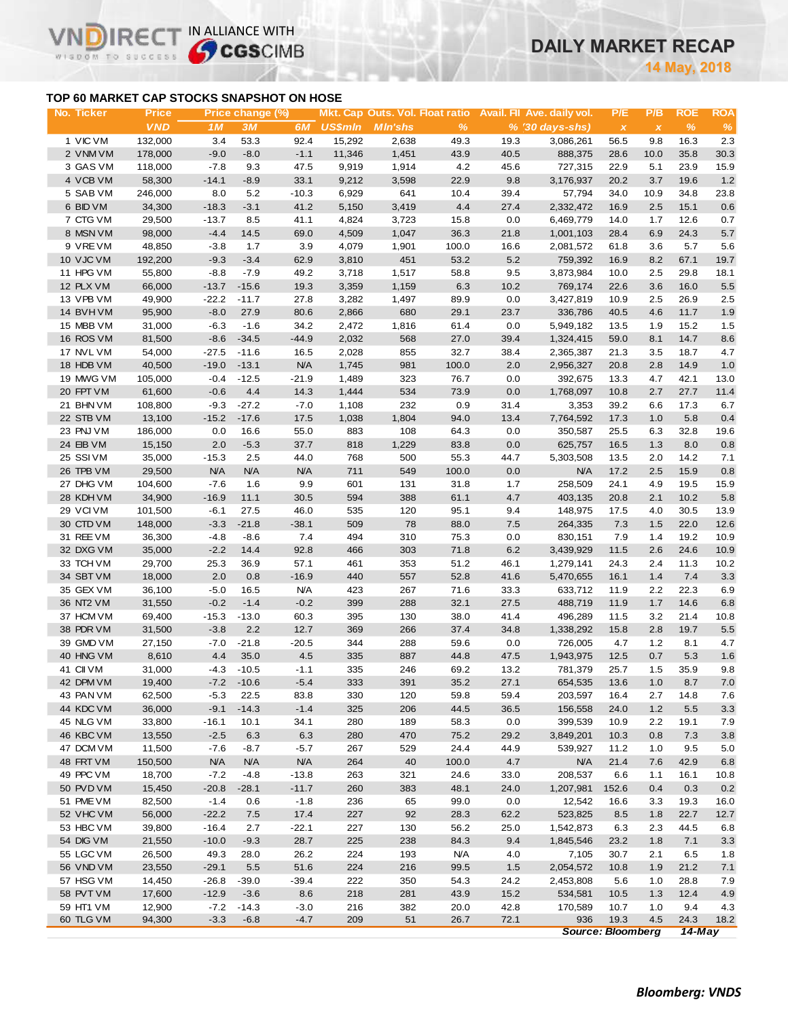## **DAILY MARKET RECAP**

**May, 2018**

## **TOP 60 MARKET CAP STOCKS SNAPSHOT ON HOSE**

**VND** 

IR<sub>E</sub>

WISDOM TO SUCCESS

IN ALLIANCE WITH

| No. Ticker | <b>Price</b> |            | Price change (%) |            |                |                 |               |      | Mkt. Cap Outs. Vol. Float ratio Avail. Fil Ave. daily vol. | P/E                       | P/B          | <b>ROE</b> | <b>ROA</b> |
|------------|--------------|------------|------------------|------------|----------------|-----------------|---------------|------|------------------------------------------------------------|---------------------------|--------------|------------|------------|
|            | <b>VND</b>   | 1M         | 3M               | 6M         | <b>US\$mln</b> | <b>M</b> In'shs | $\frac{9}{6}$ |      | $% (30 \, \text{days-shs})$                                | $\boldsymbol{\mathsf{x}}$ | $\pmb{\chi}$ | %          | $\%$       |
| 1 VIC VM   | 132,000      | 3.4        | 53.3             | 92.4       | 15,292         | 2,638           | 49.3          | 19.3 | 3,086,261                                                  | 56.5                      | 9.8          | 16.3       | 2.3        |
| 2 VNM VM   | 178,000      | $-9.0$     | $-8.0$           | $-1.1$     | 11,346         | 1,451           | 43.9          | 40.5 | 888,375                                                    | 28.6                      | 10.0         | 35.8       | 30.3       |
| 3 GAS VM   | 118,000      | $-7.8$     | 9.3              | 47.5       | 9,919          | 1,914           | 4.2           | 45.6 | 727,315                                                    | 22.9                      | 5.1          | 23.9       | 15.9       |
| 4 VCB VM   | 58,300       | $-14.1$    | $-8.9$           | 33.1       | 9,212          | 3,598           | 22.9          | 9.8  | 3,176,937                                                  | 20.2                      | 3.7          | 19.6       | 1.2        |
| 5 SAB VM   | 246,000      | 8.0        | 5.2              | $-10.3$    | 6,929          | 641             | 10.4          | 39.4 | 57,794                                                     | 34.0                      | 10.9         | 34.8       | 23.8       |
| 6 BID VM   | 34,300       | $-18.3$    | $-3.1$           | 41.2       | 5,150          | 3,419           | 4.4           | 27.4 | 2,332,472                                                  | 16.9                      | 2.5          | 15.1       | 0.6        |
| 7 CTG VM   | 29,500       | $-13.7$    | 8.5              | 41.1       | 4,824          | 3,723           | 15.8          | 0.0  | 6,469,779                                                  | 14.0                      | 1.7          | 12.6       | 0.7        |
| 8 MSN VM   | 98,000       | $-4.4$     | 14.5             | 69.0       | 4,509          | 1,047           | 36.3          | 21.8 | 1,001,103                                                  | 28.4                      | 6.9          | 24.3       | 5.7        |
| 9 VREVM    | 48,850       | $-3.8$     | 1.7              | 3.9        | 4,079          | 1,901           | 100.0         | 16.6 | 2,081,572                                                  | 61.8                      | 3.6          | 5.7        | 5.6        |
| 10 VJC VM  | 192,200      | $-9.3$     | $-3.4$           | 62.9       | 3,810          | 451             | 53.2          | 5.2  | 759,392                                                    | 16.9                      | 8.2          | 67.1       | 19.7       |
| 11 HPG VM  | 55,800       | $-8.8$     | $-7.9$           | 49.2       | 3,718          | 1,517           | 58.8          | 9.5  | 3,873,984                                                  | 10.0                      | 2.5          | 29.8       | 18.1       |
| 12 PLX VM  | 66,000       | $-13.7$    | $-15.6$          | 19.3       | 3,359          | 1,159           | 6.3           | 10.2 | 769,174                                                    | 22.6                      | 3.6          | 16.0       | 5.5        |
| 13 VPB VM  | 49,900       | $-22.2$    | $-11.7$          | 27.8       | 3,282          | 1,497           | 89.9          | 0.0  | 3,427,819                                                  | 10.9                      | 2.5          | 26.9       | 2.5        |
| 14 BVHVM   | 95,900       | $-8.0$     | 27.9             | 80.6       | 2,866          | 680             | 29.1          | 23.7 | 336,786                                                    | 40.5                      | 4.6          | 11.7       | 1.9        |
| 15 MBB VM  | 31,000       | $-6.3$     | $-1.6$           | 34.2       | 2,472          | 1,816           | 61.4          | 0.0  | 5,949,182                                                  | 13.5                      | 1.9          | 15.2       | 1.5        |
| 16 ROS VM  | 81,500       | $-8.6$     | $-34.5$          | $-44.9$    | 2,032          | 568             | 27.0          | 39.4 | 1,324,415                                                  | 59.0                      | 8.1          | 14.7       | 8.6        |
| 17 NVL VM  | 54,000       | $-27.5$    | $-11.6$          | 16.5       | 2,028          | 855             | 32.7          | 38.4 | 2,365,387                                                  | 21.3                      | 3.5          | 18.7       | 4.7        |
| 18 HDB VM  | 40,500       | $-19.0$    | $-13.1$          | <b>N/A</b> | 1,745          | 981             | 100.0         | 2.0  | 2,956,327                                                  | 20.8                      | 2.8          | 14.9       | 1.0        |
| 19 MWG VM  | 105,000      | $-0.4$     | $-12.5$          | $-21.9$    | 1,489          | 323             | 76.7          | 0.0  | 392,675                                                    | 13.3                      | 4.7          | 42.1       | 13.0       |
| 20 FPT VM  | 61,600       | $-0.6$     | 4.4              | 14.3       | 1,444          | 534             | 73.9          | 0.0  | 1,768,097                                                  | 10.8                      | 2.7          | 27.7       | 11.4       |
| 21 BHN VM  | 108,800      | $-9.3$     | $-27.2$          | $-7.0$     | 1,108          | 232             | 0.9           | 31.4 | 3,353                                                      | 39.2                      | 6.6          | 17.3       | 6.7        |
| 22 STB VM  | 13,100       | $-15.2$    | $-17.6$          | 17.5       | 1,038          | 1,804           | 94.0          | 13.4 | 7,764,592                                                  | 17.3                      | 1.0          | 5.8        | 0.4        |
| 23 PNJ VM  | 186,000      | 0.0        | 16.6             | 55.0       | 883            | 108             | 64.3          | 0.0  | 350,587                                                    | 25.5                      | 6.3          | 32.8       | 19.6       |
| 24 EIB VM  | 15,150       | 2.0        | $-5.3$           | 37.7       | 818            | 1,229           | 83.8          | 0.0  | 625,757                                                    | 16.5                      | 1.3          | 8.0        | 0.8        |
| 25 SSIVM   | 35,000       | $-15.3$    | 2.5              | 44.0       | 768            | 500             | 55.3          | 44.7 | 5,303,508                                                  | 13.5                      | 2.0          | 14.2       | 7.1        |
| 26 TPB VM  | 29,500       | <b>N/A</b> | <b>N/A</b>       | <b>N/A</b> | 711            | 549             | 100.0         | 0.0  | <b>N/A</b>                                                 | 17.2                      | 2.5          | 15.9       | 0.8        |
| 27 DHG VM  | 104,600      | $-7.6$     | 1.6              | 9.9        | 601            | 131             | 31.8          | 1.7  | 258,509                                                    | 24.1                      | 4.9          | 19.5       | 15.9       |
| 28 KDH VM  | 34,900       | $-16.9$    | 11.1             | 30.5       | 594            | 388             | 61.1          | 4.7  | 403,135                                                    | 20.8                      | 2.1          | 10.2       | 5.8        |
| 29 VCIVM   | 101,500      | $-6.1$     | 27.5             | 46.0       | 535            | 120             | 95.1          | 9.4  | 148,975                                                    | 17.5                      | 4.0          | 30.5       | 13.9       |
| 30 CTD VM  | 148,000      | $-3.3$     | $-21.8$          | $-38.1$    | 509            | 78              | 88.0          | 7.5  | 264,335                                                    | 7.3                       | 1.5          | 22.0       | 12.6       |
| 31 REE VM  | 36,300       | $-4.8$     | $-8.6$           | 7.4        | 494            | 310             | 75.3          | 0.0  | 830,151                                                    | 7.9                       | 1.4          | 19.2       | 10.9       |
| 32 DXG VM  | 35,000       | $-2.2$     | 14.4             | 92.8       | 466            | 303             | 71.8          | 6.2  | 3,439,929                                                  | 11.5                      | 2.6          | 24.6       | 10.9       |
| 33 TCH VM  | 29,700       | 25.3       | 36.9             | 57.1       | 461            | 353             | 51.2          | 46.1 | 1,279,141                                                  | 24.3                      | 2.4          | 11.3       | 10.2       |
| 34 SBT VM  | 18,000       | 2.0        | 0.8              | $-16.9$    | 440            | 557             | 52.8          | 41.6 | 5,470,655                                                  | 16.1                      | 1.4          | 7.4        | 3.3        |
| 35 GEX VM  | 36,100       | $-5.0$     | 16.5             | <b>N/A</b> | 423            | 267             | 71.6          | 33.3 | 633,712                                                    | 11.9                      | 2.2          | 22.3       | 6.9        |
| 36 NT2 VM  | 31,550       | $-0.2$     | $-1.4$           | $-0.2$     | 399            | 288             | 32.1          | 27.5 | 488,719                                                    | 11.9                      | 1.7          | 14.6       | 6.8        |
| 37 HCM VM  | 69,400       | $-15.3$    | $-13.0$          | 60.3       | 395            | 130             | 38.0          | 41.4 | 496,289                                                    | 11.5                      | 3.2          | 21.4       | 10.8       |
| 38 PDR VM  | 31,500       | $-3.8$     | 2.2              | 12.7       | 369            | 266             | 37.4          | 34.8 | 1,338,292                                                  | 15.8                      | 2.8          | 19.7       | 5.5        |
| 39 GMD VM  | 27,150       | $-7.0$     | $-21.8$          | $-20.5$    | 344            | 288             | 59.6          | 0.0  | 726,005                                                    | 4.7                       | 1.2          | 8.1        | 4.7        |
| 40 HNG VM  | 8,610        | 4.4        | 35.0             | 4.5        | 335            | 887             | 44.8          | 47.5 | 1,943,975                                                  | 12.5                      | 0.7          | 5.3        | 1.6        |
| 41 CII VM  | 31,000       | $-4.3$     | $-10.5$          | $-1.1$     | 335            | 246             | 69.2          | 13.2 | 781,379                                                    | 25.7                      | 1.5          | 35.9       | 9.8        |
| 42 DPM VM  | 19,400       |            | $-7.2 - 10.6$    | $-5.4$     | 333            | 391             | 35.2          | 27.1 | 654,535                                                    | 13.6                      | 1.0          | 8.7        | 7.0        |
| 43 PAN VM  | 62,500       | $-5.3$     | 22.5             | 83.8       | 330            | 120             | 59.8          | 59.4 | 203,597                                                    | 16.4                      | 2.7          | 14.8       | 7.6        |
| 44 KDC VM  | 36,000       | $-9.1$     | $-14.3$          | $-1.4$     | 325            | 206             | 44.5          | 36.5 | 156,558                                                    | 24.0                      | 1.2          | 5.5        | 3.3        |
| 45 NLG VM  | 33,800       | $-16.1$    | 10.1             | 34.1       | 280            | 189             | 58.3          | 0.0  | 399,539                                                    | 10.9                      | 2.2          | 19.1       | 7.9        |
| 46 KBC VM  | 13,550       | $-2.5$     | 6.3              | 6.3        | 280            | 470             | 75.2          | 29.2 | 3,849,201                                                  | 10.3                      | 0.8          | 7.3        | 3.8        |
| 47 DCM VM  | 11,500       | $-7.6$     | $-8.7$           | $-5.7$     | 267            | 529             | 24.4          | 44.9 | 539,927                                                    | 11.2                      | 1.0          | 9.5        | 5.0        |
| 48 FRT VM  | 150,500      | <b>N/A</b> | <b>N/A</b>       | <b>N/A</b> | 264            | 40              | 100.0         | 4.7  | <b>N/A</b>                                                 | 21.4                      | 7.6          | 42.9       | 6.8        |
| 49 PPC VM  | 18,700       | $-7.2$     | $-4.8$           | $-13.8$    | 263            | 321             | 24.6          | 33.0 | 208,537                                                    | 6.6                       | 1.1          | 16.1       | 10.8       |
| 50 PVD VM  | 15,450       | $-20.8$    | $-28.1$          | $-11.7$    | 260            | 383             | 48.1          | 24.0 | 1,207,981                                                  | 152.6                     | 0.4          | 0.3        | 0.2        |
| 51 PME VM  | 82,500       | $-1.4$     | 0.6              | $-1.8$     | 236            | 65              | 99.0          | 0.0  | 12,542                                                     | 16.6                      | 3.3          | 19.3       | 16.0       |
| 52 VHC VM  | 56,000       | $-22.2$    | 7.5              | 17.4       | 227            | 92              | 28.3          | 62.2 | 523,825                                                    | 8.5                       | 1.8          | 22.7       | 12.7       |
| 53 HBC VM  | 39,800       | $-16.4$    | 2.7              | $-22.1$    | 227            | 130             | 56.2          | 25.0 | 1,542,873                                                  | 6.3                       | 2.3          | 44.5       | 6.8        |
| 54 DIG VM  | 21,550       | $-10.0$    | $-9.3$           | 28.7       | 225            | 238             | 84.3          | 9.4  | 1,845,546                                                  | 23.2                      | 1.8          | 7.1        | 3.3        |
| 55 LGC VM  | 26,500       | 49.3       | 28.0             | 26.2       | 224            | 193             | <b>N/A</b>    | 4.0  | 7,105                                                      | 30.7                      | 2.1          | 6.5        | 1.8        |
| 56 VND VM  | 23,550       | $-29.1$    | 5.5              | 51.6       | 224            | 216             | 99.5          | 1.5  | 2,054,572                                                  | 10.8                      | 1.9          | 21.2       | 7.1        |
| 57 HSG VM  | 14,450       | $-26.8$    | $-39.0$          | $-39.4$    | 222            | 350             | 54.3          | 24.2 | 2,453,808                                                  | 5.6                       | 1.0          | 28.8       | 7.9        |
| 58 PVT VM  | 17,600       | $-12.9$    | $-3.6$           | 8.6        | 218            | 281             | 43.9          | 15.2 | 534,581                                                    | 10.5                      | 1.3          | 12.4       | 4.9        |
| 59 HT1 VM  | 12,900       | $-7.2$     | $-14.3$          | $-3.0$     | 216            | 382             | 20.0          | 42.8 | 170,589                                                    | 10.7                      | 1.0          | 9.4        | 4.3        |
| 60 TLG VM  | 94,300       | $-3.3$     | $-6.8$           | $-4.7$     | 209            | 51              | 26.7          | 72.1 | 936                                                        | 19.3                      | 4.5          | 24.3       | 18.2       |
|            |              |            |                  |            |                |                 |               |      | <b>Source: Bloomberg</b>                                   |                           |              | $14$ -May  |            |